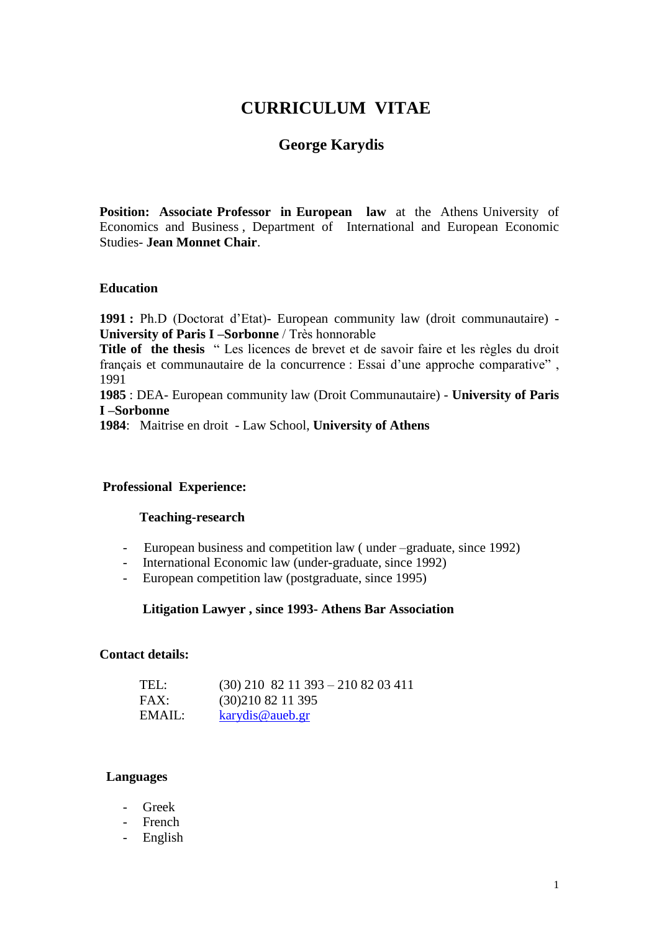# **CURRICULUM VITAE**

## **George Karydis**

**Position: Associate Professor in European law** at the Athens University of Economics and Business , Department of International and European Economic Studies- **Jean Monnet Chair**.

#### **Education**

**1991 :** Ph.D (Doctorat d"Etat)- European community law (droit communautaire) - **University of Paris I –Sorbonne** / Très honnorable

**Title of the thesis** " Les licences de brevet et de savoir faire et les règles du droit français et communautaire de la concurrence : Essai d"une approche comparative" , 1991

**1985** : DEA- European community law (Droit Communautaire) - **University of Paris I –Sorbonne** 

**1984**: Maitrise en droit- Law School, **University of Athens** 

## **Professional Experience:**

#### **Teaching-research**

- European business and competition law ( under –graduate, since 1992)
- International Economic law (under-graduate, since 1992)
- European competition law (postgraduate, since 1995)

#### **Litigation Lawyer , since 1993- Athens Bar Association**

## **Contact details:**

| TEL:   | $(30)$ 210 82 11 393 - 210 82 03 411 |
|--------|--------------------------------------|
| FAX:   | (30)2108211395                       |
| EMAIL: | karydis@aueb.gr                      |

#### **Languages**

- Greek
- French
- English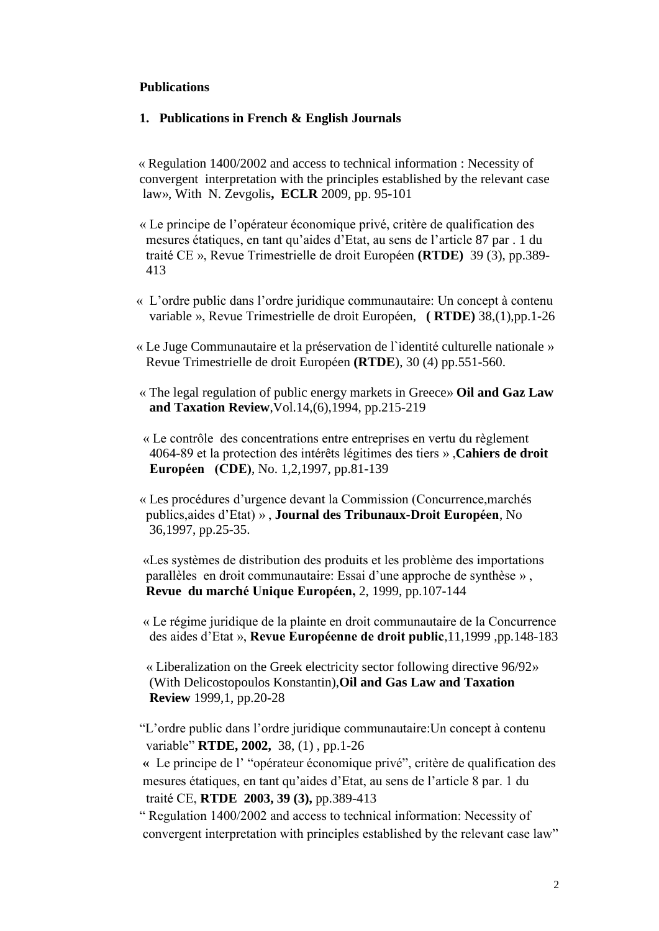## **Publications**

## **1. Publications in French & English Journals**

 « Regulation 1400/2002 and access to technical information : Necessity of convergent interpretation with the principles established by the relevant case law», With N. Zevgolis**, ECLR** 2009, pp. 95-101

- « Le principe de l"opérateur économique privé, critère de qualification des mesures étatiques, en tant qu"aides d"Etat, au sens de l"article 87 par . 1 du traité CE », Revue Trimestrielle de droit Européen **(RTDE)** 39 (3), pp.389- 413
- « L"ordre public dans l"ordre juridique communautaire: Un concept à contenu variable », Revue Trimestrielle de droit Européen, **( RTDE)** 38,(1),pp.1-26
- « Le Juge Communautaire et la préservation de l`identité culturelle nationale » Revue Trimestrielle de droit Européen **(RTDE**), 30 (4) pp.551-560.
- « The legal regulation of public energy markets in Greece» **Oil and Gaz Law and Taxation Review**,Vol.14,(6),1994, pp.215-219
- « Le contrôle des concentrations entre entreprises en vertu du règlement 4064-89 et la protection des intérêts légitimes des tiers » ,**Cahiers de droit Européen (CDE)**, No. 1,2,1997, pp.81-139
- « Les procédures d"urgence devant la Commission (Concurrence,marchés publics,aides d"Etat) » , **Journal des Tribunaux-Droit Européen**, No 36,1997, pp.25-35.

 «Les systèmes de distribution des produits et les problème des importations parallèles en droit communautaire: Essai d"une approche de synthèse » , **Revue du marché Unique Européen,** 2, 1999, pp.107-144

 « Le régime juridique de la plainte en droit communautaire de la Concurrence des aides d"Etat », **Revue Européenne de droit public**,11,1999 ,pp.148-183

« Liberalization on the Greek electricity sector following directive 96/92» (With Delicostopoulos Konstantin),**Oil and Gas Law and Taxation Review** 1999,1, pp.20-28

"L"ordre public dans l"ordre juridique communautaire:Un concept à contenu variable" **RTDE, 2002,** 38, (1) , pp.1-26

 **«** Le principe de l" "opérateur économique privé", critère de qualification des mesures étatiques, en tant qu"aides d"Etat, au sens de l"article 8 par. 1 du traité CE, **RTDE 2003, 39 (3),** pp.389-413

" Regulation 1400/2002 and access to technical information: Necessity of convergent interpretation with principles established by the relevant case law"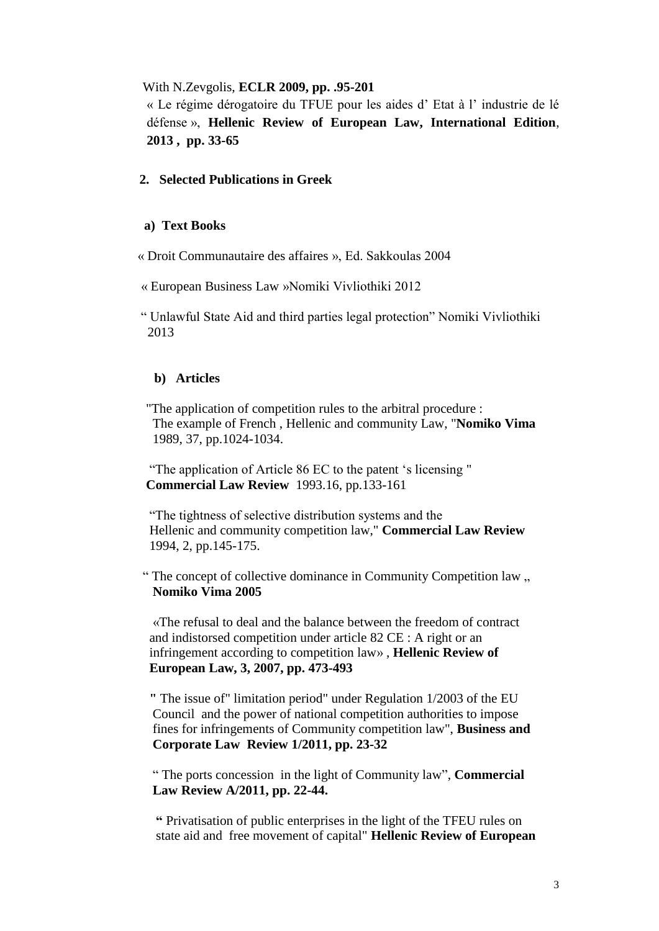## With N.Zevgolis, **ECLR 2009, pp. .95-201**

« Le régime dérogatoire du TFUE pour les aides d" Etat à l" industrie de lé défense », **Hellenic Review of European Law, International Edition**, **2013 , pp. 33-65**

## **2. Selected Publications in Greek**

## **a) Text Books**

« Droit Communautaire des affaires », Ed. Sakkoulas 2004

« European Business Law »Nomiki Vivliothiki 2012

" Unlawful State Aid and third parties legal protection" Nomiki Vivliothiki 2013

#### **b) Articles**

 "The application of competition rules to the arbitral procedure : The example of French , Hellenic and community Law, "**Nomiko Vima** 1989, 37, pp.1024-1034.

 "The application of Article 86 EC to the patent "s licensing " **Commercial Law Review** 1993.16, pp.133-161

 "The tightness of selective distribution systems and the Hellenic and community competition law," **Commercial Law Review** 1994, 2, pp.145-175.

" The concept of collective dominance in Community Competition law  $\ldots$ **Nomiko Vima 2005**

 «The refusal to deal and the balance between the freedom of contract and indistorsed competition under article 82 CE : A right or an infringement according to competition law» , **Hellenic Review of European Law, 3, 2007, pp. 473-493**

 **"** The issue of" limitation period" under Regulation 1/2003 of the EU Council and the power of national competition authorities to impose fines for infringements of Community competition law", **Business and Corporate Law Review 1/2011, pp. 23-32**

 " The ports concession in the light of Community law", **Commercial Law Review A/2011, pp. 22-44.**

 **"** Privatisation of public enterprises in the light of the TFEU rules on state aid and free movement of capital" **Hellenic Review of European**